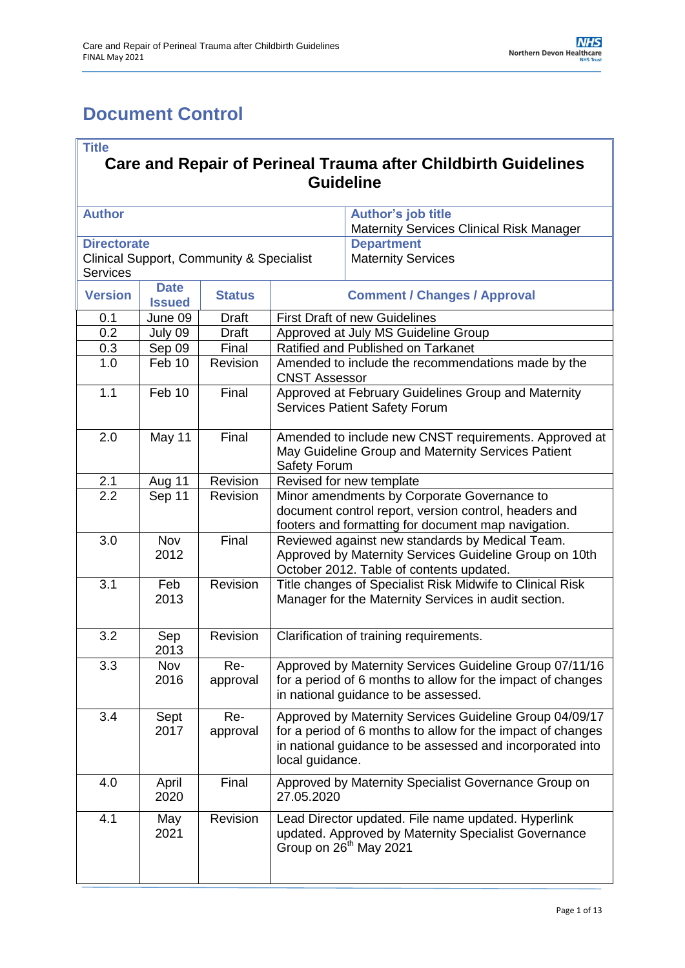# <span id="page-0-0"></span>**Document Control**

#### **Title**

## **Care and Repair of Perineal Trauma after Childbirth Guidelines Guideline**

| <b>Author's job title</b><br><b>Author</b>                  |                              |                 |                                                                                                                                                                                                        |  |  |
|-------------------------------------------------------------|------------------------------|-----------------|--------------------------------------------------------------------------------------------------------------------------------------------------------------------------------------------------------|--|--|
| <b>Directorate</b>                                          |                              |                 | <b>Maternity Services Clinical Risk Manager</b><br><b>Department</b>                                                                                                                                   |  |  |
|                                                             |                              |                 | <b>Maternity Services</b>                                                                                                                                                                              |  |  |
| Clinical Support, Community & Specialist<br><b>Services</b> |                              |                 |                                                                                                                                                                                                        |  |  |
| <b>Version</b>                                              | <b>Date</b><br><b>Issued</b> | <b>Status</b>   | <b>Comment / Changes / Approval</b>                                                                                                                                                                    |  |  |
| 0.1                                                         | June 09                      | <b>Draft</b>    | <b>First Draft of new Guidelines</b>                                                                                                                                                                   |  |  |
| 0.2                                                         | July 09                      | <b>Draft</b>    | Approved at July MS Guideline Group                                                                                                                                                                    |  |  |
| 0.3                                                         | Sep 09                       | Final           | Ratified and Published on Tarkanet                                                                                                                                                                     |  |  |
| 1.0                                                         | Feb 10                       | Revision        | Amended to include the recommendations made by the<br><b>CNST Assessor</b>                                                                                                                             |  |  |
| 1.1                                                         | Feb 10                       | Final           | Approved at February Guidelines Group and Maternity<br><b>Services Patient Safety Forum</b>                                                                                                            |  |  |
| 2.0                                                         | May 11                       | Final           | Amended to include new CNST requirements. Approved at<br>May Guideline Group and Maternity Services Patient<br><b>Safety Forum</b>                                                                     |  |  |
| 2.1                                                         | Aug 11                       | Revision        | Revised for new template                                                                                                                                                                               |  |  |
| 2.2                                                         | Sep 11                       | Revision        | Minor amendments by Corporate Governance to<br>document control report, version control, headers and<br>footers and formatting for document map navigation.                                            |  |  |
| 3.0                                                         | <b>Nov</b><br>2012           | Final           | Reviewed against new standards by Medical Team.<br>Approved by Maternity Services Guideline Group on 10th<br>October 2012. Table of contents updated.                                                  |  |  |
| 3.1                                                         | Feb<br>2013                  | Revision        | Title changes of Specialist Risk Midwife to Clinical Risk<br>Manager for the Maternity Services in audit section.                                                                                      |  |  |
| 3.2                                                         | Sep<br>2013                  | Revision        | Clarification of training requirements.                                                                                                                                                                |  |  |
| 3.3                                                         | Nov<br>2016                  | Re-<br>approval | Approved by Maternity Services Guideline Group 07/11/16<br>for a period of 6 months to allow for the impact of changes<br>in national guidance to be assessed.                                         |  |  |
| 3.4                                                         | Sept<br>2017                 | Re-<br>approval | Approved by Maternity Services Guideline Group 04/09/17<br>for a period of 6 months to allow for the impact of changes<br>in national guidance to be assessed and incorporated into<br>local guidance. |  |  |
| 4.0                                                         | April<br>2020                | Final           | Approved by Maternity Specialist Governance Group on<br>27.05.2020                                                                                                                                     |  |  |
| 4.1                                                         | May<br>2021                  | Revision        | Lead Director updated. File name updated. Hyperlink<br>updated. Approved by Maternity Specialist Governance<br>Group on 26 <sup>th</sup> May 2021                                                      |  |  |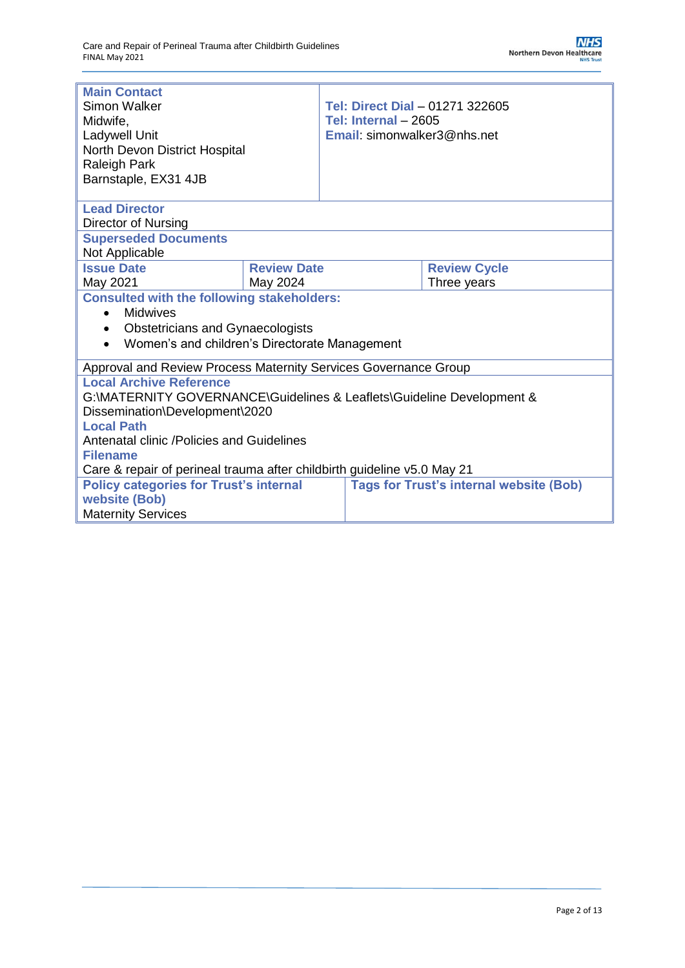| <b>Main Contact</b><br>Simon Walker<br>Midwife,<br>Ladywell Unit<br>North Devon District Hospital<br><b>Raleigh Park</b><br>Barnstaple, EX31 4JB |                    | Tel: Direct Dial - 01271 322605<br>Tel: Internal - 2605<br>Email: simonwalker3@nhs.net |                                                |  |  |  |
|--------------------------------------------------------------------------------------------------------------------------------------------------|--------------------|----------------------------------------------------------------------------------------|------------------------------------------------|--|--|--|
| <b>Lead Director</b>                                                                                                                             |                    |                                                                                        |                                                |  |  |  |
| Director of Nursing                                                                                                                              |                    |                                                                                        |                                                |  |  |  |
| <b>Superseded Documents</b>                                                                                                                      |                    |                                                                                        |                                                |  |  |  |
| Not Applicable<br><b>Issue Date</b>                                                                                                              | <b>Review Date</b> |                                                                                        |                                                |  |  |  |
| May 2021                                                                                                                                         | May 2024           |                                                                                        | <b>Review Cycle</b><br>Three years             |  |  |  |
| <b>Consulted with the following stakeholders:</b>                                                                                                |                    |                                                                                        |                                                |  |  |  |
| <b>Midwives</b><br>$\bullet$                                                                                                                     |                    |                                                                                        |                                                |  |  |  |
| <b>Obstetricians and Gynaecologists</b><br>$\bullet$                                                                                             |                    |                                                                                        |                                                |  |  |  |
| Women's and children's Directorate Management<br>$\bullet$                                                                                       |                    |                                                                                        |                                                |  |  |  |
|                                                                                                                                                  |                    |                                                                                        |                                                |  |  |  |
| Approval and Review Process Maternity Services Governance Group                                                                                  |                    |                                                                                        |                                                |  |  |  |
| <b>Local Archive Reference</b>                                                                                                                   |                    |                                                                                        |                                                |  |  |  |
| G:\MATERNITY GOVERNANCE\Guidelines & Leaflets\Guideline Development &<br>Dissemination\Development\2020                                          |                    |                                                                                        |                                                |  |  |  |
| <b>Local Path</b>                                                                                                                                |                    |                                                                                        |                                                |  |  |  |
| Antenatal clinic /Policies and Guidelines                                                                                                        |                    |                                                                                        |                                                |  |  |  |
| <b>Filename</b>                                                                                                                                  |                    |                                                                                        |                                                |  |  |  |
| Care & repair of perineal trauma after childbirth guideline v5.0 May 21                                                                          |                    |                                                                                        |                                                |  |  |  |
| <b>Policy categories for Trust's internal</b>                                                                                                    |                    |                                                                                        | <b>Tags for Trust's internal website (Bob)</b> |  |  |  |
| website (Bob)                                                                                                                                    |                    |                                                                                        |                                                |  |  |  |
| <b>Maternity Services</b>                                                                                                                        |                    |                                                                                        |                                                |  |  |  |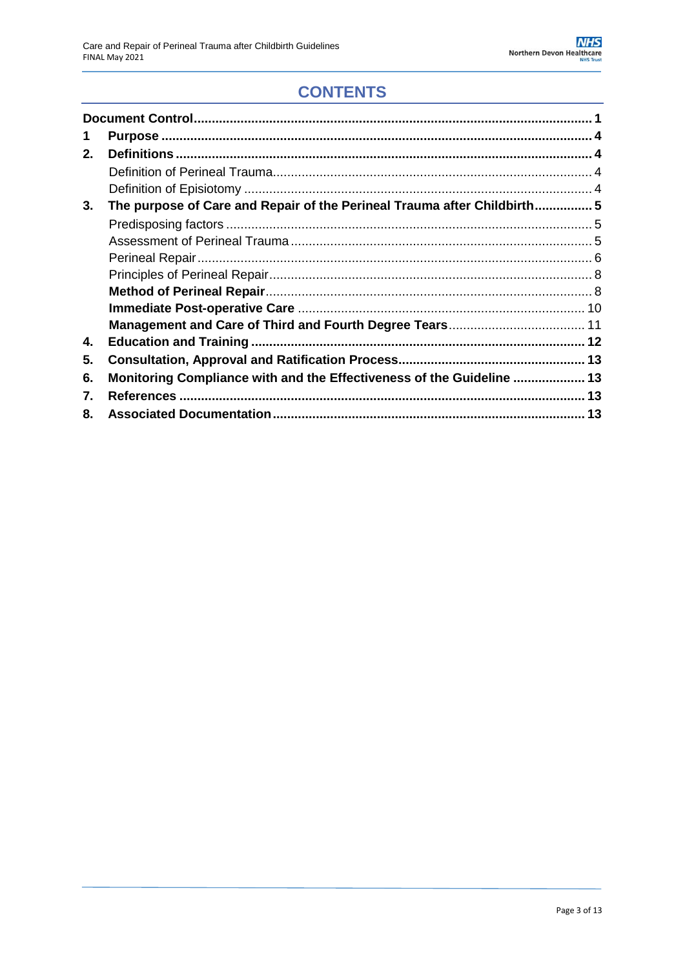# **CONTENTS**

| 1  |                                                                         |  |
|----|-------------------------------------------------------------------------|--|
| 2. |                                                                         |  |
|    |                                                                         |  |
|    |                                                                         |  |
| 3. | The purpose of Care and Repair of the Perineal Trauma after Childbirth5 |  |
|    |                                                                         |  |
|    |                                                                         |  |
|    |                                                                         |  |
|    |                                                                         |  |
|    |                                                                         |  |
|    |                                                                         |  |
|    |                                                                         |  |
| 4. |                                                                         |  |
| 5. |                                                                         |  |
| 6. | Monitoring Compliance with and the Effectiveness of the Guideline  13   |  |
| 7. |                                                                         |  |
| 8. |                                                                         |  |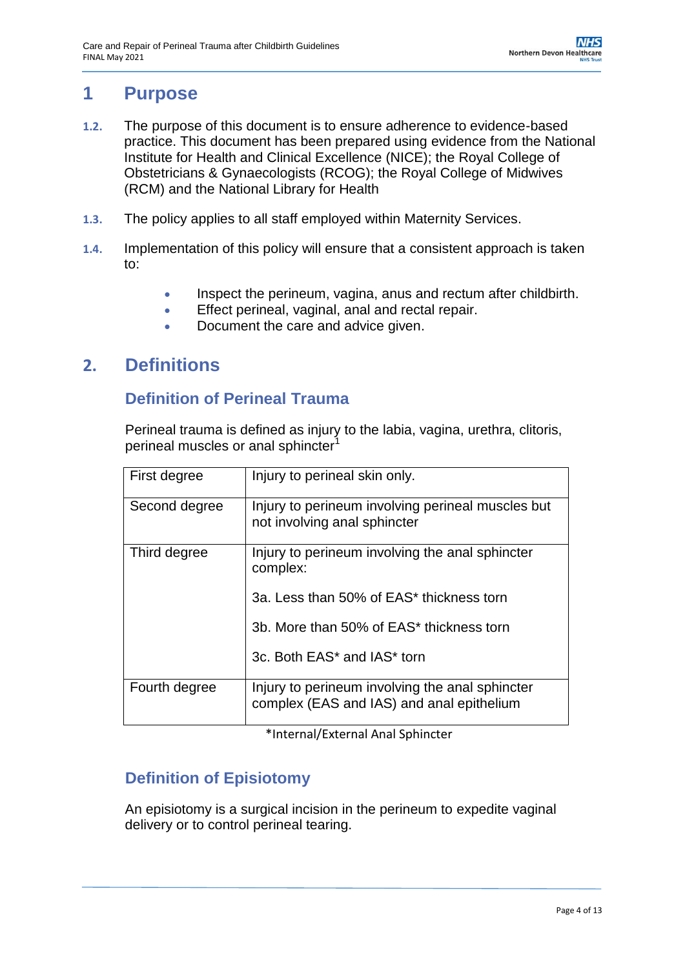# <span id="page-3-0"></span>**1 Purpose**

- **1.2.** The purpose of this document is to ensure adherence to evidence-based practice. This document has been prepared using evidence from the National Institute for Health and Clinical Excellence (NICE); the Royal College of Obstetricians & Gynaecologists (RCOG); the Royal College of Midwives (RCM) and the National Library for Health
- **1.3.** The policy applies to all staff employed within Maternity Services.
- **1.4.** Implementation of this policy will ensure that a consistent approach is taken to:
	- Inspect the perineum, vagina, anus and rectum after childbirth.
	- **Effect perineal, vaginal, anal and rectal repair.**
	- Document the care and advice given.

## <span id="page-3-2"></span><span id="page-3-1"></span>**2. Definitions**

#### **Definition of Perineal Trauma**

Perineal trauma is defined as injury to the labia, vagina, urethra, clitoris, perineal muscles or anal sphincter<sup>1</sup>

| First degree  | Injury to perineal skin only.                                                                |
|---------------|----------------------------------------------------------------------------------------------|
| Second degree | Injury to perineum involving perineal muscles but<br>not involving anal sphincter            |
| Third degree  | Injury to perineum involving the anal sphincter<br>complex:                                  |
|               | 3a. Less than 50% of EAS* thickness torn                                                     |
|               | 3b. More than 50% of EAS* thickness torn                                                     |
|               | 3c. Both EAS* and IAS* torn                                                                  |
| Fourth degree | Injury to perineum involving the anal sphincter<br>complex (EAS and IAS) and anal epithelium |

\*Internal/External Anal Sphincter

# <span id="page-3-3"></span>**Definition of Episiotomy**

An episiotomy is a surgical incision in the perineum to expedite vaginal delivery or to control perineal tearing.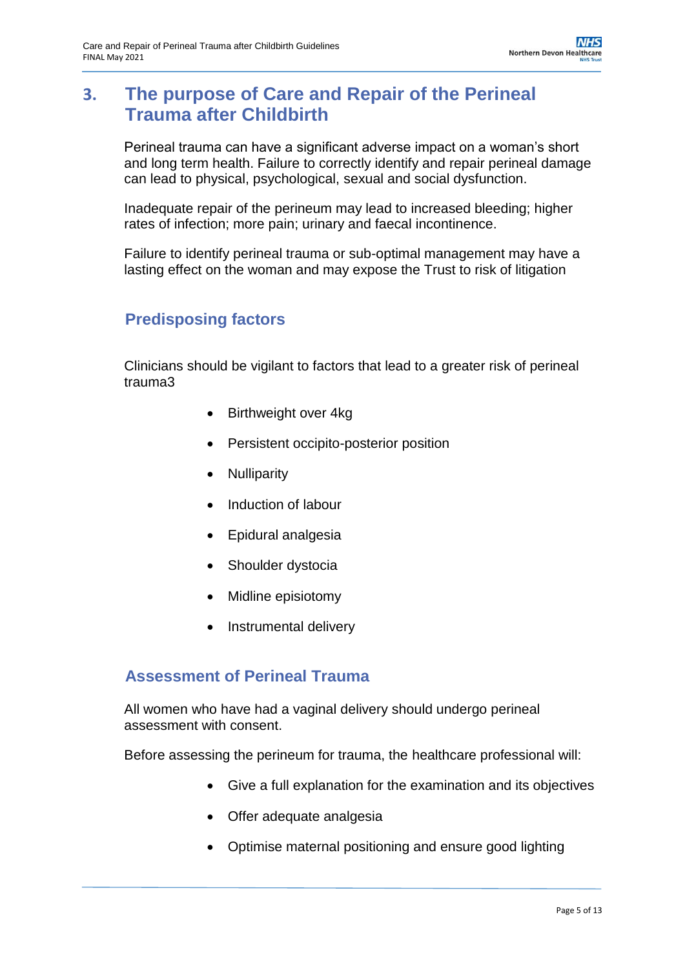# <span id="page-4-0"></span>**3. The purpose of Care and Repair of the Perineal Trauma after Childbirth**

Perineal trauma can have a significant adverse impact on a woman's short and long term health. Failure to correctly identify and repair perineal damage can lead to physical, psychological, sexual and social dysfunction.

Inadequate repair of the perineum may lead to increased bleeding; higher rates of infection; more pain; urinary and faecal incontinence.

Failure to identify perineal trauma or sub-optimal management may have a lasting effect on the woman and may expose the Trust to risk of litigation

## <span id="page-4-1"></span>**Predisposing factors**

Clinicians should be vigilant to factors that lead to a greater risk of perineal trauma3

- Birthweight over 4kg
- Persistent occipito-posterior position
- **Nulliparity**
- Induction of labour
- Epidural analgesia
- Shoulder dystocia
- Midline episiotomy
- Instrumental delivery

#### <span id="page-4-2"></span>**Assessment of Perineal Trauma**

All women who have had a vaginal delivery should undergo perineal assessment with consent.

Before assessing the perineum for trauma, the healthcare professional will:

- Give a full explanation for the examination and its objectives
- Offer adequate analgesia
- Optimise maternal positioning and ensure good lighting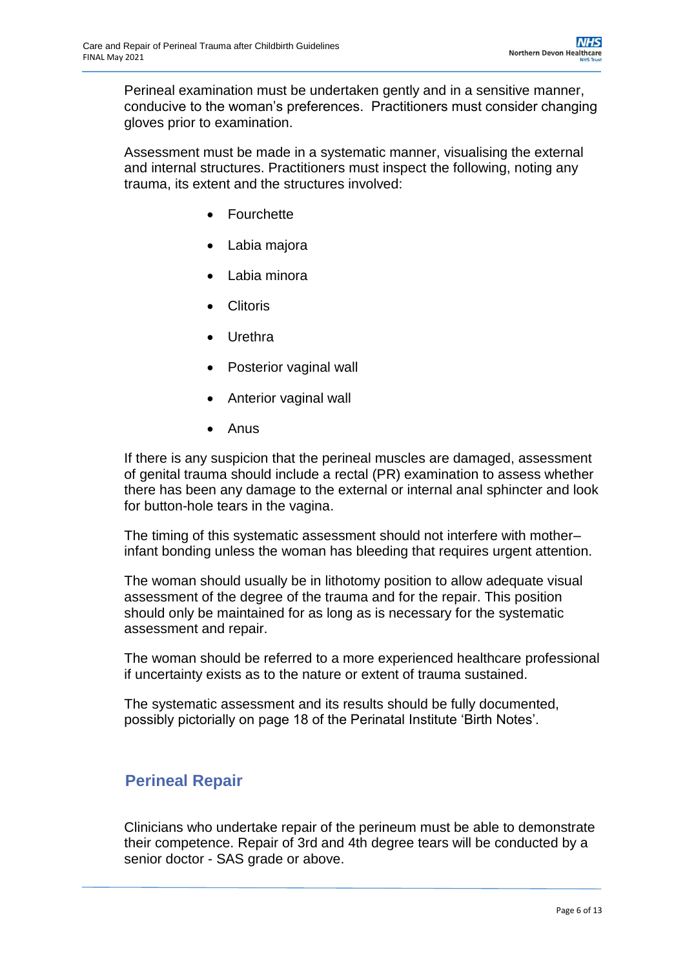Perineal examination must be undertaken gently and in a sensitive manner, conducive to the woman's preferences. Practitioners must consider changing gloves prior to examination.

Assessment must be made in a systematic manner, visualising the external and internal structures. Practitioners must inspect the following, noting any trauma, its extent and the structures involved:

- **•** Fourchette
- Labia majora
- Labia minora
- Clitoris
- Urethra
- Posterior vaginal wall
- Anterior vaginal wall
- Anus

If there is any suspicion that the perineal muscles are damaged, assessment of genital trauma should include a rectal (PR) examination to assess whether there has been any damage to the external or internal anal sphincter and look for button-hole tears in the vagina.

The timing of this systematic assessment should not interfere with mother– infant bonding unless the woman has bleeding that requires urgent attention.

The woman should usually be in lithotomy position to allow adequate visual assessment of the degree of the trauma and for the repair. This position should only be maintained for as long as is necessary for the systematic assessment and repair.

The woman should be referred to a more experienced healthcare professional if uncertainty exists as to the nature or extent of trauma sustained.

The systematic assessment and its results should be fully documented, possibly pictorially on page 18 of the Perinatal Institute 'Birth Notes'.

## <span id="page-5-0"></span>**Perineal Repair**

Clinicians who undertake repair of the perineum must be able to demonstrate their competence. Repair of 3rd and 4th degree tears will be conducted by a senior doctor - SAS grade or above.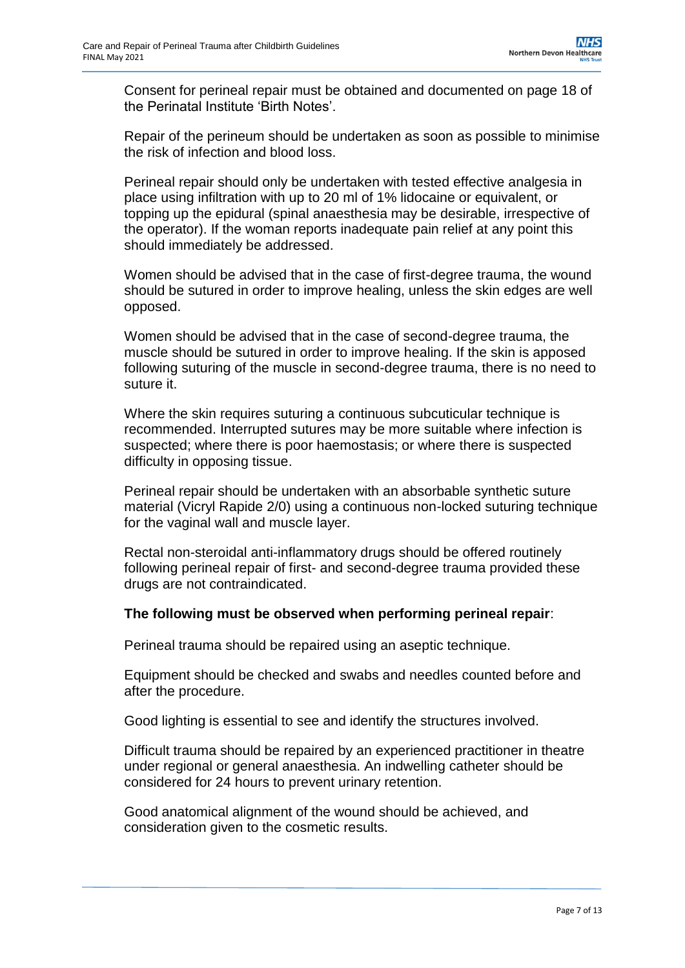Consent for perineal repair must be obtained and documented on page 18 of the Perinatal Institute 'Birth Notes'.

Repair of the perineum should be undertaken as soon as possible to minimise the risk of infection and blood loss.

Perineal repair should only be undertaken with tested effective analgesia in place using infiltration with up to 20 ml of 1% lidocaine or equivalent, or topping up the epidural (spinal anaesthesia may be desirable, irrespective of the operator). If the woman reports inadequate pain relief at any point this should immediately be addressed.

Women should be advised that in the case of first-degree trauma, the wound should be sutured in order to improve healing, unless the skin edges are well opposed.

Women should be advised that in the case of second-degree trauma, the muscle should be sutured in order to improve healing. If the skin is apposed following suturing of the muscle in second-degree trauma, there is no need to suture it.

Where the skin requires suturing a continuous subcuticular technique is recommended. Interrupted sutures may be more suitable where infection is suspected; where there is poor haemostasis; or where there is suspected difficulty in opposing tissue.

Perineal repair should be undertaken with an absorbable synthetic suture material (Vicryl Rapide 2/0) using a continuous non-locked suturing technique for the vaginal wall and muscle layer.

Rectal non-steroidal anti-inflammatory drugs should be offered routinely following perineal repair of first- and second-degree trauma provided these drugs are not contraindicated.

#### **The following must be observed when performing perineal repair**:

Perineal trauma should be repaired using an aseptic technique.

Equipment should be checked and swabs and needles counted before and after the procedure.

Good lighting is essential to see and identify the structures involved.

Difficult trauma should be repaired by an experienced practitioner in theatre under regional or general anaesthesia. An indwelling catheter should be considered for 24 hours to prevent urinary retention.

Good anatomical alignment of the wound should be achieved, and consideration given to the cosmetic results.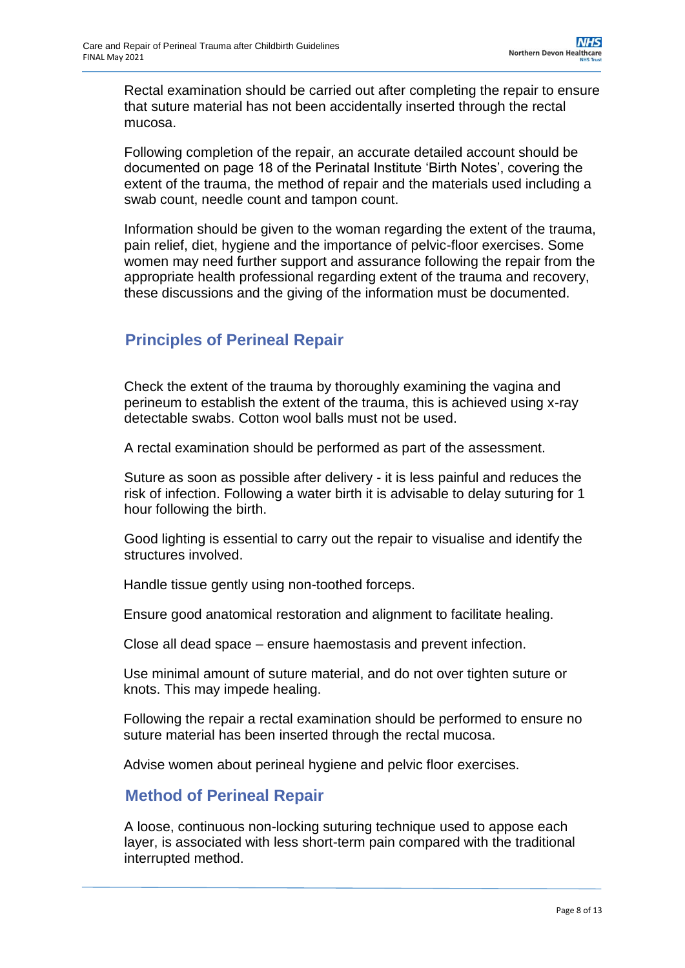Rectal examination should be carried out after completing the repair to ensure that suture material has not been accidentally inserted through the rectal mucosa.

Following completion of the repair, an accurate detailed account should be documented on page 18 of the Perinatal Institute 'Birth Notes', covering the extent of the trauma, the method of repair and the materials used including a swab count, needle count and tampon count.

Information should be given to the woman regarding the extent of the trauma, pain relief, diet, hygiene and the importance of pelvic-floor exercises. Some women may need further support and assurance following the repair from the appropriate health professional regarding extent of the trauma and recovery, these discussions and the giving of the information must be documented.

#### <span id="page-7-0"></span>**Principles of Perineal Repair**

Check the extent of the trauma by thoroughly examining the vagina and perineum to establish the extent of the trauma, this is achieved using x-ray detectable swabs. Cotton wool balls must not be used.

A rectal examination should be performed as part of the assessment.

Suture as soon as possible after delivery - it is less painful and reduces the risk of infection. Following a water birth it is advisable to delay suturing for 1 hour following the birth.

Good lighting is essential to carry out the repair to visualise and identify the structures involved.

Handle tissue gently using non-toothed forceps.

Ensure good anatomical restoration and alignment to facilitate healing.

Close all dead space – ensure haemostasis and prevent infection.

Use minimal amount of suture material, and do not over tighten suture or knots. This may impede healing.

Following the repair a rectal examination should be performed to ensure no suture material has been inserted through the rectal mucosa.

Advise women about perineal hygiene and pelvic floor exercises.

#### <span id="page-7-1"></span>**Method of Perineal Repair**

A loose, continuous non-locking suturing technique used to appose each layer, is associated with less short-term pain compared with the traditional interrupted method.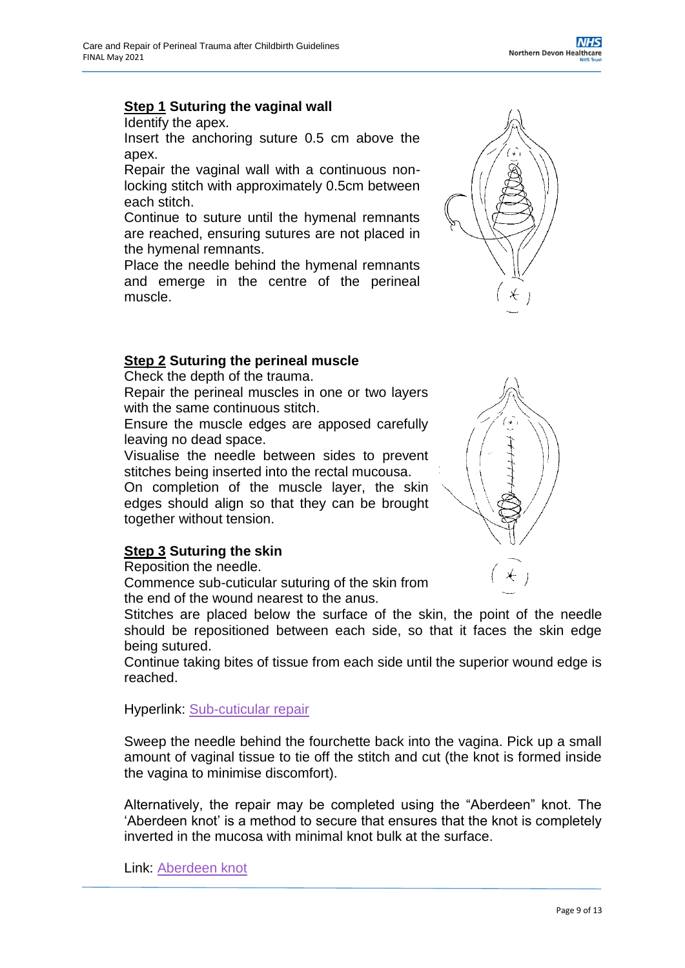#### **Step 1 Suturing the vaginal wall**

Identify the apex.

Insert the anchoring suture 0.5 cm above the apex.

Repair the vaginal wall with a continuous nonlocking stitch with approximately 0.5cm between each stitch.

Continue to suture until the hymenal remnants are reached, ensuring sutures are not placed in the hymenal remnants.

Place the needle behind the hymenal remnants and emerge in the centre of the perineal muscle.

#### **Step 2 Suturing the perineal muscle**

Check the depth of the trauma.

Repair the perineal muscles in one or two layers with the same continuous stitch.

Ensure the muscle edges are apposed carefully leaving no dead space.

Visualise the needle between sides to prevent stitches being inserted into the rectal mucousa.

On completion of the muscle layer, the skin edges should align so that they can be brought together without tension.

#### **Step 3 Suturing the skin**

Reposition the needle.

Commence sub-cuticular suturing of the skin from the end of the wound nearest to the anus.

Stitches are placed below the surface of the skin, the point of the needle should be repositioned between each side, so that it faces the skin edge being sutured.

Continue taking bites of tissue from each side until the superior wound edge is reached.

Hyperlink: [Sub-cuticular repair](https://www.youtube.com/watch?v=hIqTDvofekM)

Sweep the needle behind the fourchette back into the vagina. Pick up a small amount of vaginal tissue to tie off the stitch and cut (the knot is formed inside the vagina to minimise discomfort).

Alternatively, the repair may be completed using the "Aberdeen" knot. The 'Aberdeen knot' is a method to secure that ensures that the knot is completely inverted in the mucosa with minimal knot bulk at the surface.

Link: [Aberdeen knot](http://www.youtube.com/watch?v=npS7BSIyr_4)



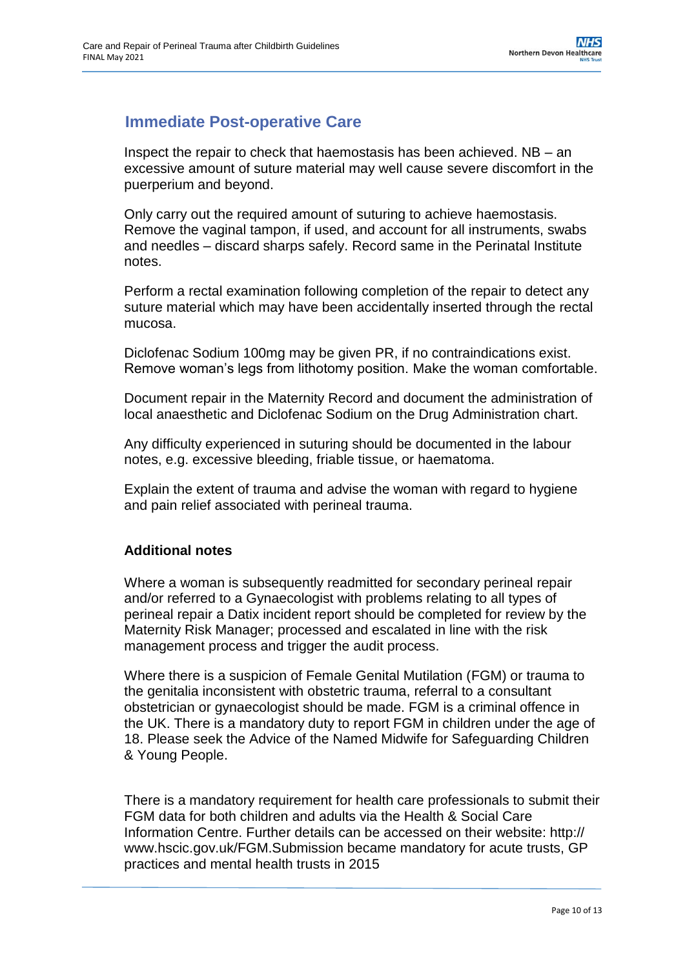## <span id="page-9-0"></span>**Immediate Post-operative Care**

Inspect the repair to check that haemostasis has been achieved.  $NB - an$ excessive amount of suture material may well cause severe discomfort in the puerperium and beyond.

Only carry out the required amount of suturing to achieve haemostasis. Remove the vaginal tampon, if used, and account for all instruments, swabs and needles – discard sharps safely. Record same in the Perinatal Institute notes.

Perform a rectal examination following completion of the repair to detect any suture material which may have been accidentally inserted through the rectal mucosa.

Diclofenac Sodium 100mg may be given PR, if no contraindications exist. Remove woman's legs from lithotomy position. Make the woman comfortable.

Document repair in the Maternity Record and document the administration of local anaesthetic and Diclofenac Sodium on the Drug Administration chart.

Any difficulty experienced in suturing should be documented in the labour notes, e.g. excessive bleeding, friable tissue, or haematoma.

Explain the extent of trauma and advise the woman with regard to hygiene and pain relief associated with perineal trauma.

#### **Additional notes**

Where a woman is subsequently readmitted for secondary perineal repair and/or referred to a Gynaecologist with problems relating to all types of perineal repair a Datix incident report should be completed for review by the Maternity Risk Manager; processed and escalated in line with the risk management process and trigger the audit process.

Where there is a suspicion of Female Genital Mutilation (FGM) or trauma to the genitalia inconsistent with obstetric trauma, referral to a consultant obstetrician or gynaecologist should be made. FGM is a criminal offence in the UK. There is a mandatory duty to report FGM in children under the age of 18. Please seek the Advice of the Named Midwife for Safeguarding Children & Young People.

There is a mandatory requirement for health care professionals to submit their FGM data for both children and adults via the Health & Social Care Information Centre. Further details can be accessed on their website: http:// www.hscic.gov.uk/FGM.Submission became mandatory for acute trusts, GP practices and mental health trusts in 2015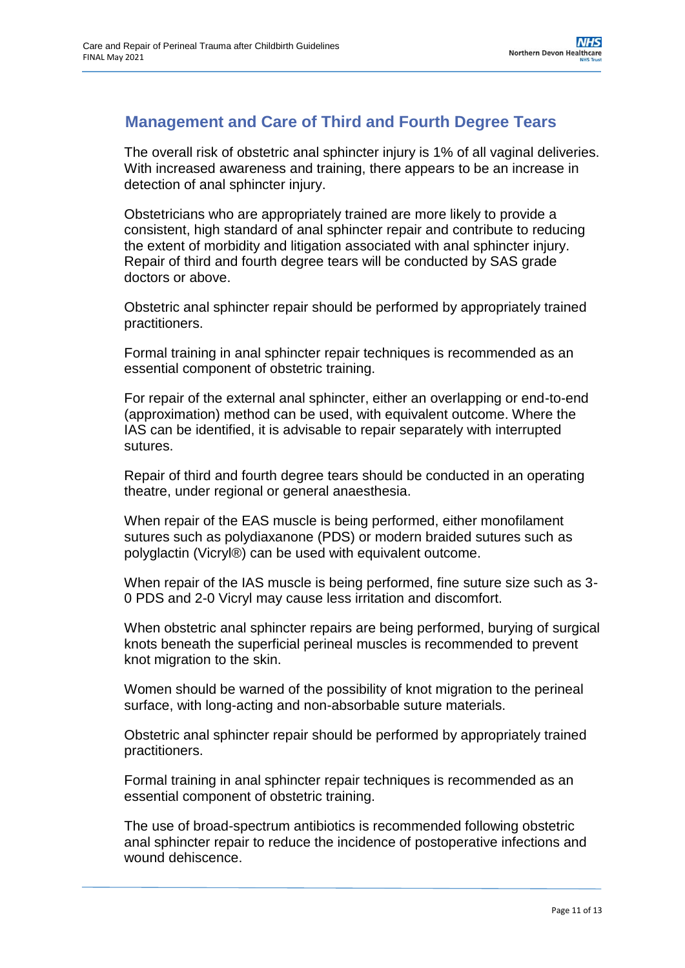#### <span id="page-10-0"></span>**Management and Care of Third and Fourth Degree Tears**

The overall risk of obstetric anal sphincter injury is 1% of all vaginal deliveries. With increased awareness and training, there appears to be an increase in detection of anal sphincter injury.

Obstetricians who are appropriately trained are more likely to provide a consistent, high standard of anal sphincter repair and contribute to reducing the extent of morbidity and litigation associated with anal sphincter injury. Repair of third and fourth degree tears will be conducted by SAS grade doctors or above.

Obstetric anal sphincter repair should be performed by appropriately trained practitioners.

Formal training in anal sphincter repair techniques is recommended as an essential component of obstetric training.

For repair of the external anal sphincter, either an overlapping or end-to-end (approximation) method can be used, with equivalent outcome. Where the IAS can be identified, it is advisable to repair separately with interrupted sutures.

Repair of third and fourth degree tears should be conducted in an operating theatre, under regional or general anaesthesia.

When repair of the EAS muscle is being performed, either monofilament sutures such as polydiaxanone (PDS) or modern braided sutures such as polyglactin (Vicryl®) can be used with equivalent outcome.

When repair of the IAS muscle is being performed, fine suture size such as 3- 0 PDS and 2-0 Vicryl may cause less irritation and discomfort.

When obstetric anal sphincter repairs are being performed, burying of surgical knots beneath the superficial perineal muscles is recommended to prevent knot migration to the skin.

Women should be warned of the possibility of knot migration to the perineal surface, with long-acting and non-absorbable suture materials.

Obstetric anal sphincter repair should be performed by appropriately trained practitioners.

Formal training in anal sphincter repair techniques is recommended as an essential component of obstetric training.

The use of broad-spectrum antibiotics is recommended following obstetric anal sphincter repair to reduce the incidence of postoperative infections and wound dehiscence.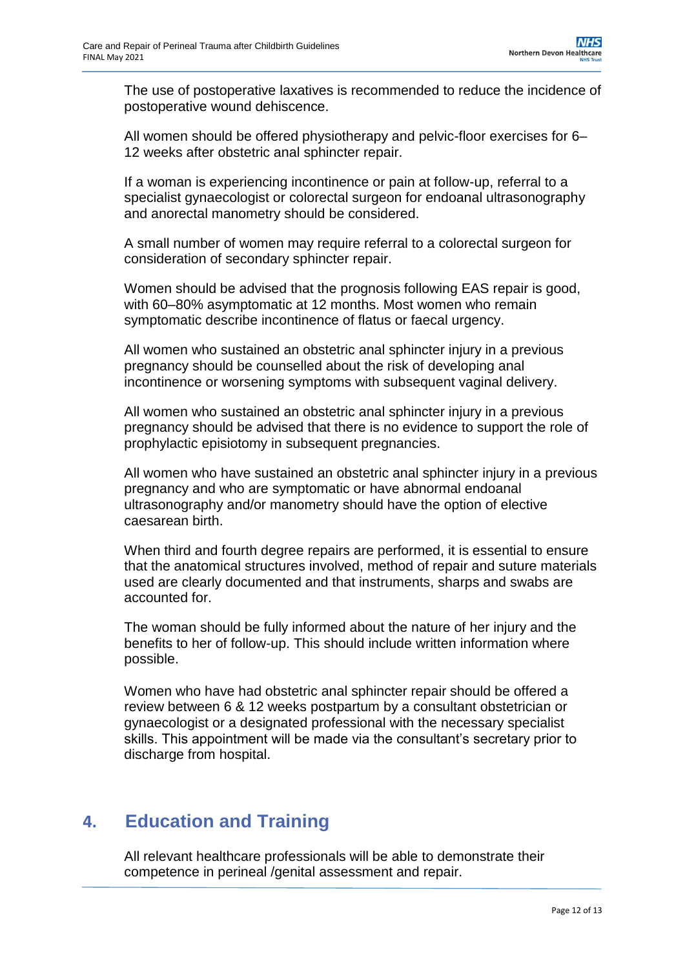The use of postoperative laxatives is recommended to reduce the incidence of postoperative wound dehiscence.

All women should be offered physiotherapy and pelvic-floor exercises for 6– 12 weeks after obstetric anal sphincter repair.

If a woman is experiencing incontinence or pain at follow-up, referral to a specialist gynaecologist or colorectal surgeon for endoanal ultrasonography and anorectal manometry should be considered.

A small number of women may require referral to a colorectal surgeon for consideration of secondary sphincter repair.

Women should be advised that the prognosis following EAS repair is good, with 60–80% asymptomatic at 12 months. Most women who remain symptomatic describe incontinence of flatus or faecal urgency.

All women who sustained an obstetric anal sphincter injury in a previous pregnancy should be counselled about the risk of developing anal incontinence or worsening symptoms with subsequent vaginal delivery.

All women who sustained an obstetric anal sphincter injury in a previous pregnancy should be advised that there is no evidence to support the role of prophylactic episiotomy in subsequent pregnancies.

All women who have sustained an obstetric anal sphincter injury in a previous pregnancy and who are symptomatic or have abnormal endoanal ultrasonography and/or manometry should have the option of elective caesarean birth.

When third and fourth degree repairs are performed, it is essential to ensure that the anatomical structures involved, method of repair and suture materials used are clearly documented and that instruments, sharps and swabs are accounted for.

The woman should be fully informed about the nature of her injury and the benefits to her of follow-up. This should include written information where possible.

Women who have had obstetric anal sphincter repair should be offered a review between 6 & 12 weeks postpartum by a consultant obstetrician or gynaecologist or a designated professional with the necessary specialist skills. This appointment will be made via the consultant's secretary prior to discharge from hospital.

# <span id="page-11-0"></span>**4. Education and Training**

All relevant healthcare professionals will be able to demonstrate their competence in perineal /genital assessment and repair.